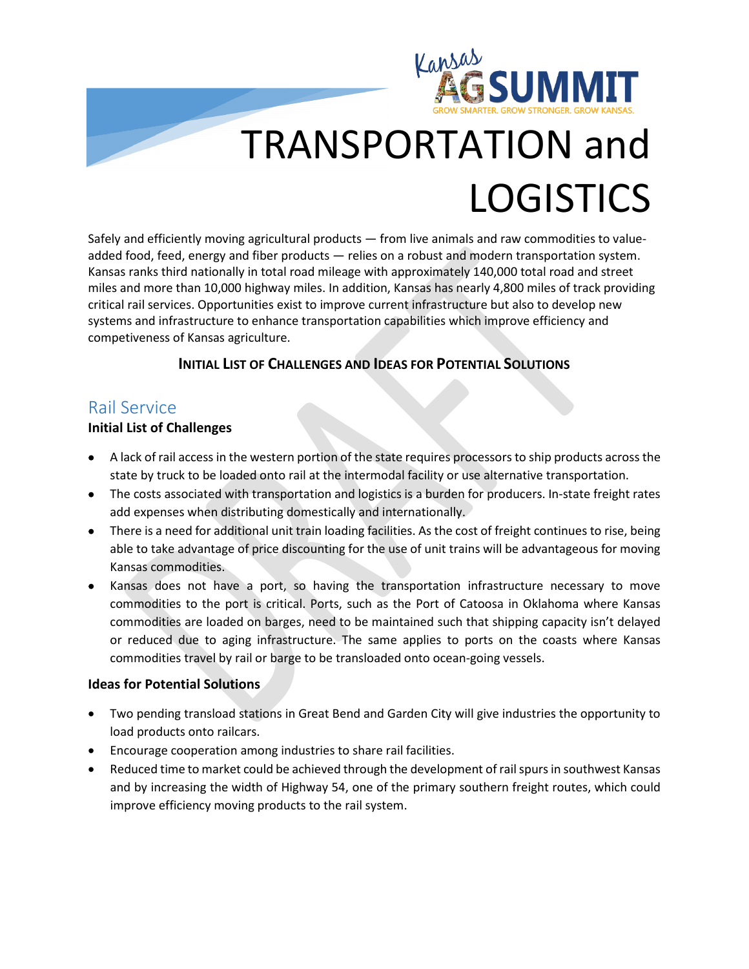

# TRANSPORTATION and **LOGISTICS**

Safely and efficiently moving agricultural products — from live animals and raw commodities to valueadded food, feed, energy and fiber products — relies on a robust and modern transportation system. Kansas ranks third nationally in total road mileage with approximately 140,000 total road and street miles and more than 10,000 highway miles. In addition, Kansas has nearly 4,800 miles of track providing critical rail services. Opportunities exist to improve current infrastructure but also to develop new systems and infrastructure to enhance transportation capabilities which improve efficiency and competiveness of Kansas agriculture.

#### **INITIAL LIST OF CHALLENGES AND IDEAS FOR POTENTIAL SOLUTIONS**

## Rail Service

#### **Initial List of Challenges**

- A lack of rail access in the western portion of the state requires processors to ship products across the state by truck to be loaded onto rail at the intermodal facility or use alternative transportation.
- The costs associated with transportation and logistics is a burden for producers. In-state freight rates add expenses when distributing domestically and internationally.
- There is a need for additional unit train loading facilities. As the cost of freight continues to rise, being able to take advantage of price discounting for the use of unit trains will be advantageous for moving Kansas commodities.
- Kansas does not have a port, so having the transportation infrastructure necessary to move commodities to the port is critical. Ports, such as the Port of Catoosa in Oklahoma where Kansas commodities are loaded on barges, need to be maintained such that shipping capacity isn't delayed or reduced due to aging infrastructure. The same applies to ports on the coasts where Kansas commodities travel by rail or barge to be transloaded onto ocean-going vessels.

#### **Ideas for Potential Solutions**

- Two pending transload stations in Great Bend and Garden City will give industries the opportunity to load products onto railcars.
- Encourage cooperation among industries to share rail facilities.
- Reduced time to market could be achieved through the development of rail spurs in southwest Kansas and by increasing the width of Highway 54, one of the primary southern freight routes, which could improve efficiency moving products to the rail system.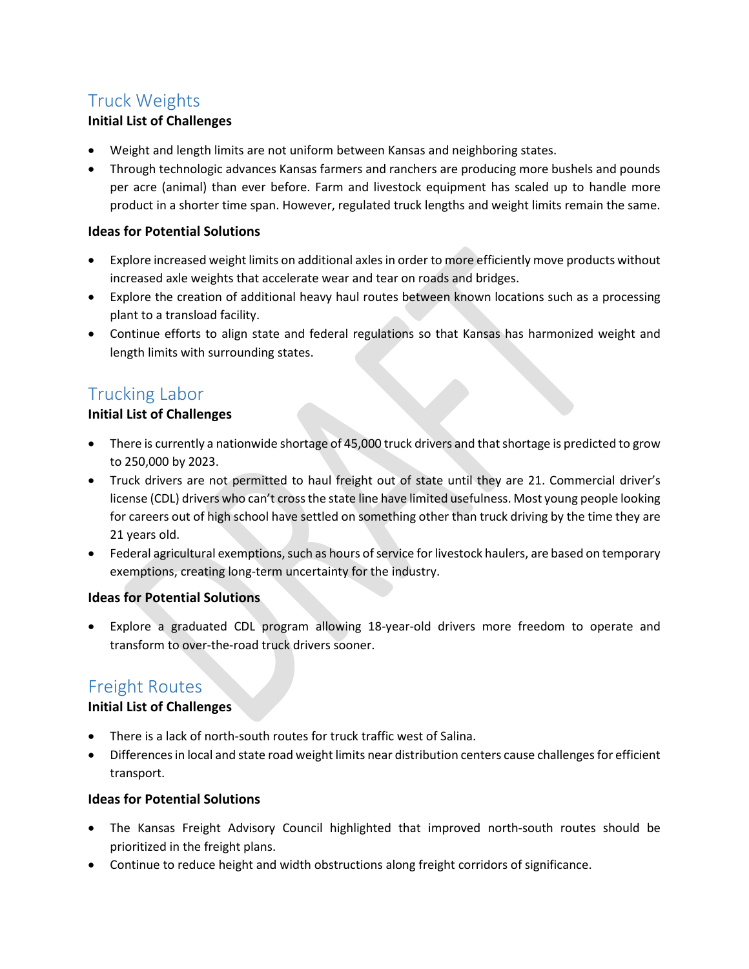# Truck Weights

#### **Initial List of Challenges**

- Weight and length limits are not uniform between Kansas and neighboring states.
- Through technologic advances Kansas farmers and ranchers are producing more bushels and pounds per acre (animal) than ever before. Farm and livestock equipment has scaled up to handle more product in a shorter time span. However, regulated truck lengths and weight limits remain the same.

#### **Ideas for Potential Solutions**

- Explore increased weight limits on additional axles in order to more efficiently move products without increased axle weights that accelerate wear and tear on roads and bridges.
- Explore the creation of additional heavy haul routes between known locations such as a processing plant to a transload facility.
- Continue efforts to align state and federal regulations so that Kansas has harmonized weight and length limits with surrounding states.

## Trucking Labor

#### **Initial List of Challenges**

- There is currently a nationwide shortage of 45,000 truck drivers and that shortage is predicted to grow to 250,000 by 2023.
- Truck drivers are not permitted to haul freight out of state until they are 21. Commercial driver's license (CDL) drivers who can't cross the state line have limited usefulness. Most young people looking for careers out of high school have settled on something other than truck driving by the time they are 21 years old.
- Federal agricultural exemptions, such as hours of service for livestock haulers, are based on temporary exemptions, creating long-term uncertainty for the industry.

#### **Ideas for Potential Solutions**

• Explore a graduated CDL program allowing 18-year-old drivers more freedom to operate and transform to over-the-road truck drivers sooner.

### Freight Routes

#### **Initial List of Challenges**

- There is a lack of north-south routes for truck traffic west of Salina.
- Differences in local and state road weight limits near distribution centers cause challenges for efficient transport.

#### **Ideas for Potential Solutions**

- The Kansas Freight Advisory Council highlighted that improved north-south routes should be prioritized in the freight plans.
- Continue to reduce height and width obstructions along freight corridors of significance.